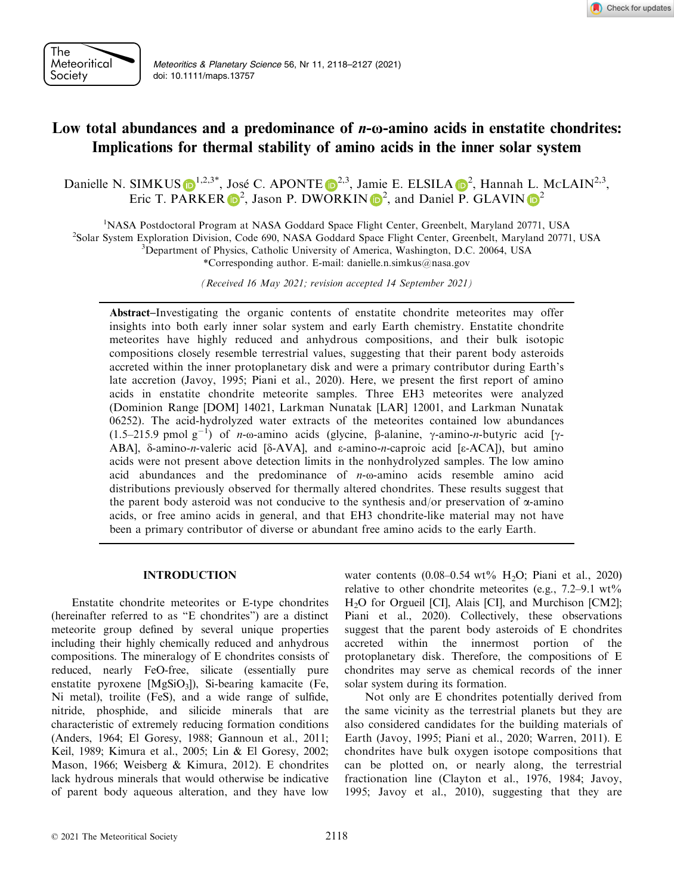

Meteoritics & Planetary Science 56, Nr 11, 2118–2127 (2021) doi: 10.1111/maps.13757

# Low total abundances and a predominance of n-ω-amino acids in enstatite chondrites: Implications for thermal stability of amino acids in the inner solar system

Danielle N. SIMKUS  $\bigcirc^{1,2,3^*}$  $\bigcirc^{1,2,3^*}$  $\bigcirc^{1,2,3^*}$  $\bigcirc^{1,2,3^*}$  $\bigcirc^{1,2,3^*}$ , José C. APONT[E](https://orcid.org/0000-0002-0131-1981)  $\bigcirc^{2,3}$ , Jamie E. ELSILA  $\bigcirc^2$ , Hannah L. McLAIN<sup>2,3</sup>, Eric T. PA[R](https://orcid.org/0000-0001-7825-5941)KER  $\mathbb{D}^2$  $\mathbb{D}^2$ , Jason P. DWORKI[N](https://orcid.org/0000-0001-7779-7765)  $\mathbb{D}^2$ , and Daniel P. GLAVIN  $\mathbb{D}^2$ 

<sup>1</sup>NASA Postdoctoral Program at NASA Goddard Space Flight Center, Greenbelt, Maryland 20771, USA<br><sup>2</sup>Solar System Exploration Division Code 690, NASA Goddard Space Flight Center, Greenbelt, Maryland 2077

<sup>2</sup>Solar System Exploration Division, Code 690, NASA Goddard Space Flight Center, Greenbelt, Maryland 20771, USA

Department of Physics, Catholic University of America, Washington, D.C. 20064, USA

\*Corresponding author. E-mail: [danielle.n.simkus@nasa.gov](mailto:)

(Received 16 May 2021; revision accepted 14 September 2021)

Abstract–Investigating the organic contents of enstatite chondrite meteorites may offer insights into both early inner solar system and early Earth chemistry. Enstatite chondrite meteorites have highly reduced and anhydrous compositions, and their bulk isotopic compositions closely resemble terrestrial values, suggesting that their parent body asteroids accreted within the inner protoplanetary disk and were a primary contributor during Earth's late accretion (Javoy, 1995; Piani et al., 2020). Here, we present the first report of amino acids in enstatite chondrite meteorite samples. Three EH3 meteorites were analyzed (Dominion Range [DOM] 14021, Larkman Nunatak [LAR] 12001, and Larkman Nunatak 06252). The acid-hydrolyzed water extracts of the meteorites contained low abundances (1.5–215.9 pmol  $g^{-1}$ ) of *n*-ω-amino acids (glycine,  $\beta$ -alanine,  $\gamma$ -amino-*n*-butyric acid [ $\gamma$ -ABA], δ-amino-n-valeric acid [δ-AVA], and ε-amino-n-caproic acid [ε-ACA]), but amino acids were not present above detection limits in the nonhydrolyzed samples. The low amino acid abundances and the predominance of  $n$ -ω-amino acids resemble amino acid distributions previously observed for thermally altered chondrites. These results suggest that the parent body asteroid was not conducive to the synthesis and/or preservation of  $\alpha$ -amino acids, or free amino acids in general, and that EH3 chondrite-like material may not have been a primary contributor of diverse or abundant free amino acids to the early Earth.

### INTRODUCTION

Enstatite chondrite meteorites or E-type chondrites (hereinafter referred to as "E chondrites") are a distinct meteorite group defined by several unique properties including their highly chemically reduced and anhydrous compositions. The mineralogy of E chondrites consists of reduced, nearly FeO-free, silicate (essentially pure enstatite pyroxene  $[MgSiO_3]$ ), Si-bearing kamacite (Fe, Ni metal), troilite (FeS), and a wide range of sulfide, nitride, phosphide, and silicide minerals that are characteristic of extremely reducing formation conditions (Anders, 1964; El Goresy, 1988; Gannoun et al., 2011; Keil, 1989; Kimura et al., 2005; Lin & El Goresy, 2002; Mason, 1966; Weisberg & Kimura, 2012). E chondrites lack hydrous minerals that would otherwise be indicative of parent body aqueous alteration, and they have low water contents  $(0.08-0.54 \text{ wt\% H}_2O; \text{Piani et al.}, 2020)$ relative to other chondrite meteorites (e.g.,  $7.2-9.1 \text{ wt\%}$ ) H2O for Orgueil [CI], Alais [CI], and Murchison [CM2]; Piani et al., 2020). Collectively, these observations suggest that the parent body asteroids of E chondrites accreted within the innermost portion of the protoplanetary disk. Therefore, the compositions of E chondrites may serve as chemical records of the inner solar system during its formation.

Not only are E chondrites potentially derived from the same vicinity as the terrestrial planets but they are also considered candidates for the building materials of Earth (Javoy, 1995; Piani et al., 2020; Warren, 2011). E chondrites have bulk oxygen isotope compositions that can be plotted on, or nearly along, the terrestrial fractionation line (Clayton et al., 1976, 1984; Javoy, 1995; Javoy et al., 2010), suggesting that they are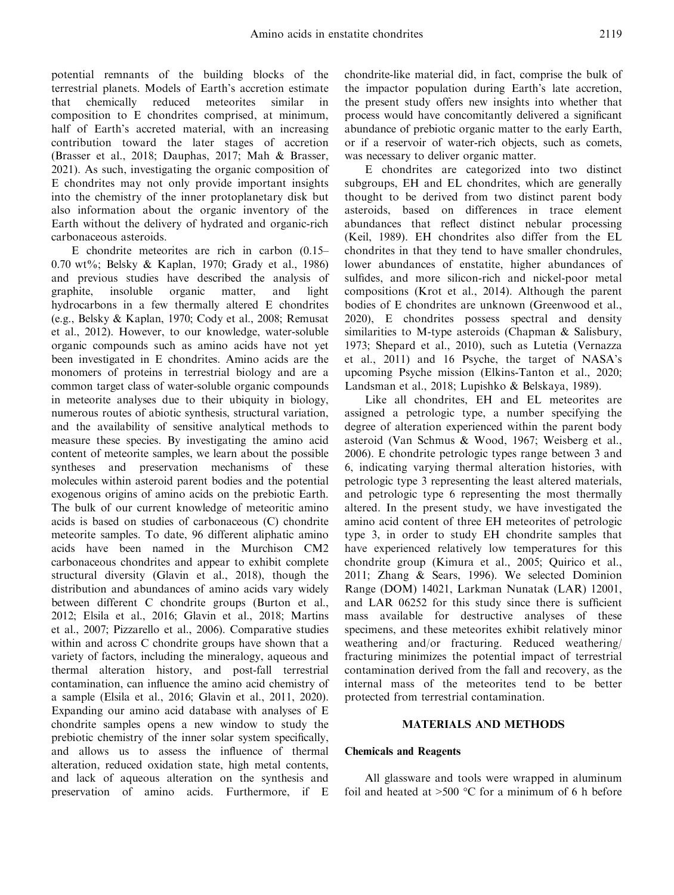potential remnants of the building blocks of the terrestrial planets. Models of Earth's accretion estimate that chemically reduced meteorites similar in composition to E chondrites comprised, at minimum, half of Earth's accreted material, with an increasing contribution toward the later stages of accretion (Brasser et al., 2018; Dauphas, 2017; Mah & Brasser, 2021). As such, investigating the organic composition of E chondrites may not only provide important insights into the chemistry of the inner protoplanetary disk but also information about the organic inventory of the Earth without the delivery of hydrated and organic-rich carbonaceous asteroids.

E chondrite meteorites are rich in carbon (0.15– 0.70 wt%; Belsky & Kaplan, 1970; Grady et al., 1986) and previous studies have described the analysis of graphite, insoluble organic matter, and light hydrocarbons in a few thermally altered E chondrites (e.g., Belsky & Kaplan, 1970; Cody et al., 2008; Remusat et al., 2012). However, to our knowledge, water-soluble organic compounds such as amino acids have not yet been investigated in E chondrites. Amino acids are the monomers of proteins in terrestrial biology and are a common target class of water-soluble organic compounds in meteorite analyses due to their ubiquity in biology, numerous routes of abiotic synthesis, structural variation, and the availability of sensitive analytical methods to measure these species. By investigating the amino acid content of meteorite samples, we learn about the possible syntheses and preservation mechanisms of these molecules within asteroid parent bodies and the potential exogenous origins of amino acids on the prebiotic Earth. The bulk of our current knowledge of meteoritic amino acids is based on studies of carbonaceous (C) chondrite meteorite samples. To date, 96 different aliphatic amino acids have been named in the Murchison CM2 carbonaceous chondrites and appear to exhibit complete structural diversity (Glavin et al., 2018), though the distribution and abundances of amino acids vary widely between different C chondrite groups (Burton et al., 2012; Elsila et al., 2016; Glavin et al., 2018; Martins et al., 2007; Pizzarello et al., 2006). Comparative studies within and across C chondrite groups have shown that a variety of factors, including the mineralogy, aqueous and thermal alteration history, and post-fall terrestrial contamination, can influence the amino acid chemistry of a sample (Elsila et al., 2016; Glavin et al., 2011, 2020). Expanding our amino acid database with analyses of E chondrite samples opens a new window to study the prebiotic chemistry of the inner solar system specifically, and allows us to assess the influence of thermal alteration, reduced oxidation state, high metal contents, and lack of aqueous alteration on the synthesis and preservation of amino acids. Furthermore, if E chondrite-like material did, in fact, comprise the bulk of the impactor population during Earth's late accretion, the present study offers new insights into whether that process would have concomitantly delivered a significant abundance of prebiotic organic matter to the early Earth, or if a reservoir of water-rich objects, such as comets, was necessary to deliver organic matter.

E chondrites are categorized into two distinct subgroups, EH and EL chondrites, which are generally thought to be derived from two distinct parent body asteroids, based on differences in trace element abundances that reflect distinct nebular processing (Keil, 1989). EH chondrites also differ from the EL chondrites in that they tend to have smaller chondrules, lower abundances of enstatite, higher abundances of sulfides, and more silicon-rich and nickel-poor metal compositions (Krot et al., 2014). Although the parent bodies of E chondrites are unknown (Greenwood et al., 2020), E chondrites possess spectral and density similarities to M-type asteroids (Chapman & Salisbury, 1973; Shepard et al., 2010), such as Lutetia (Vernazza et al., 2011) and 16 Psyche, the target of NASA's upcoming Psyche mission (Elkins-Tanton et al., 2020; Landsman et al., 2018; Lupishko & Belskaya, 1989).

Like all chondrites, EH and EL meteorites are assigned a petrologic type, a number specifying the degree of alteration experienced within the parent body asteroid (Van Schmus & Wood, 1967; Weisberg et al., 2006). E chondrite petrologic types range between 3 and 6, indicating varying thermal alteration histories, with petrologic type 3 representing the least altered materials, and petrologic type 6 representing the most thermally altered. In the present study, we have investigated the amino acid content of three EH meteorites of petrologic type 3, in order to study EH chondrite samples that have experienced relatively low temperatures for this chondrite group (Kimura et al., 2005; Quirico et al., 2011; Zhang & Sears, 1996). We selected Dominion Range (DOM) 14021, Larkman Nunatak (LAR) 12001, and LAR 06252 for this study since there is sufficient mass available for destructive analyses of these specimens, and these meteorites exhibit relatively minor weathering and/or fracturing. Reduced weathering/ fracturing minimizes the potential impact of terrestrial contamination derived from the fall and recovery, as the internal mass of the meteorites tend to be better protected from terrestrial contamination.

### MATERIALS AND METHODS

### Chemicals and Reagents

All glassware and tools were wrapped in aluminum foil and heated at  $>500$  °C for a minimum of 6 h before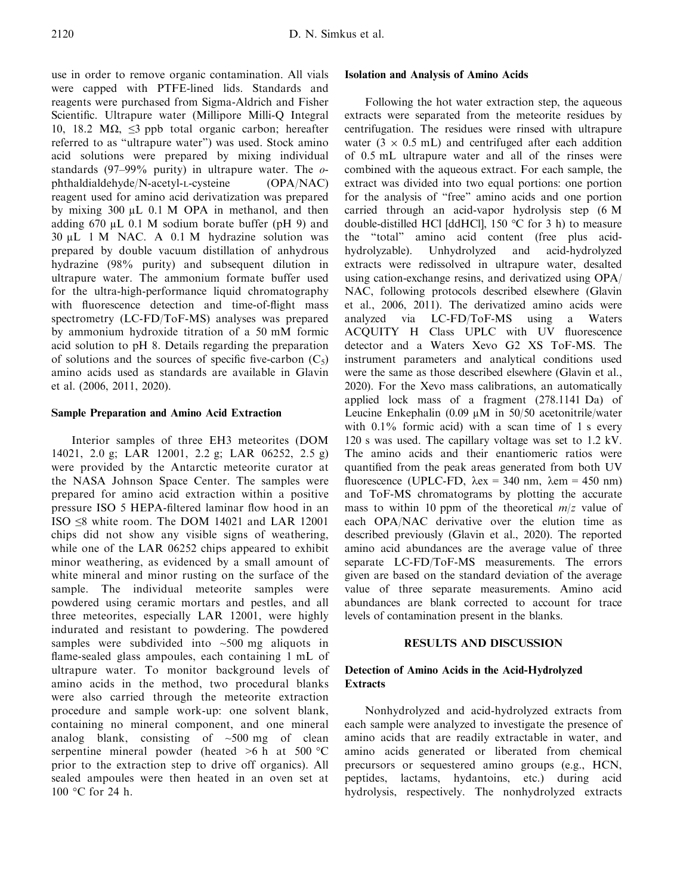use in order to remove organic contamination. All vials were capped with PTFE-lined lids. Standards and reagents were purchased from Sigma-Aldrich and Fisher Scientific. Ultrapure water (Millipore Milli-Q Integral 10, 18.2 MΩ, ≤3 ppb total organic carbon; hereafter referred to as "ultrapure water") was used. Stock amino acid solutions were prepared by mixing individual standards (97–99% purity) in ultrapure water. The  $\sigma$ phthaldialdehyde/N-acetyl-L-cysteine (OPA/NAC) reagent used for amino acid derivatization was prepared by mixing 300 µL 0.1 M OPA in methanol, and then adding 670 µL 0.1 M sodium borate buffer (pH 9) and 30 µL 1 M NAC. A 0.1 M hydrazine solution was prepared by double vacuum distillation of anhydrous hydrazine (98% purity) and subsequent dilution in ultrapure water. The ammonium formate buffer used for the ultra-high-performance liquid chromatography with fluorescence detection and time-of-flight mass spectrometry (LC-FD/ToF-MS) analyses was prepared by ammonium hydroxide titration of a 50 mM formic acid solution to pH 8. Details regarding the preparation of solutions and the sources of specific five-carbon  $(C_5)$ amino acids used as standards are available in Glavin et al. (2006, 2011, 2020).

# Sample Preparation and Amino Acid Extraction

Interior samples of three EH3 meteorites (DOM 14021, 2.0 g; LAR 12001, 2.2 g; LAR 06252, 2.5 g) were provided by the Antarctic meteorite curator at the NASA Johnson Space Center. The samples were prepared for amino acid extraction within a positive pressure ISO 5 HEPA-filtered laminar flow hood in an ISO ≤8 white room. The DOM 14021 and LAR 12001 chips did not show any visible signs of weathering, while one of the LAR 06252 chips appeared to exhibit minor weathering, as evidenced by a small amount of white mineral and minor rusting on the surface of the sample. The individual meteorite samples were powdered using ceramic mortars and pestles, and all three meteorites, especially LAR 12001, were highly indurated and resistant to powdering. The powdered samples were subdivided into  $\sim$ 500 mg aliquots in flame-sealed glass ampoules, each containing 1 mL of ultrapure water. To monitor background levels of amino acids in the method, two procedural blanks were also carried through the meteorite extraction procedure and sample work-up: one solvent blank, containing no mineral component, and one mineral analog blank, consisting of  $\sim$ 500 mg of clean serpentine mineral powder (heated  $>6$  h at 500 °C prior to the extraction step to drive off organics). All sealed ampoules were then heated in an oven set at 100 °C for 24 h.

## Isolation and Analysis of Amino Acids

Following the hot water extraction step, the aqueous extracts were separated from the meteorite residues by centrifugation. The residues were rinsed with ultrapure water ( $3 \times 0.5$  mL) and centrifuged after each addition of 0.5 mL ultrapure water and all of the rinses were combined with the aqueous extract. For each sample, the extract was divided into two equal portions: one portion for the analysis of "free" amino acids and one portion carried through an acid-vapor hydrolysis step (6 M double-distilled HCl [ddHCl], 150 °C for 3 h) to measure the "total" amino acid content (free plus acidhydrolyzable). Unhydrolyzed and acid-hydrolyzed extracts were redissolved in ultrapure water, desalted using cation-exchange resins, and derivatized using OPA/ NAC, following protocols described elsewhere (Glavin et al., 2006, 2011). The derivatized amino acids were analyzed via LC-FD/ToF-MS using a Waters ACQUITY H Class UPLC with UV fluorescence detector and a Waters Xevo G2 XS ToF-MS. The instrument parameters and analytical conditions used were the same as those described elsewhere (Glavin et al., 2020). For the Xevo mass calibrations, an automatically applied lock mass of a fragment (278.1141 Da) of Leucine Enkephalin (0.09 µM in 50/50 acetonitrile/water with  $0.1\%$  formic acid) with a scan time of 1 s every 120 s was used. The capillary voltage was set to 1.2 kV. The amino acids and their enantiomeric ratios were quantified from the peak areas generated from both UV fluorescence (UPLC-FD,  $\lambda$ ex = 340 nm,  $\lambda$ em = 450 nm) and ToF-MS chromatograms by plotting the accurate mass to within 10 ppm of the theoretical  $m/z$  value of each OPA/NAC derivative over the elution time as described previously (Glavin et al., 2020). The reported amino acid abundances are the average value of three separate LC-FD/ToF-MS measurements. The errors given are based on the standard deviation of the average value of three separate measurements. Amino acid abundances are blank corrected to account for trace levels of contamination present in the blanks.

## RESULTS AND DISCUSSION

# Detection of Amino Acids in the Acid-Hydrolyzed **Extracts**

Nonhydrolyzed and acid-hydrolyzed extracts from each sample were analyzed to investigate the presence of amino acids that are readily extractable in water, and amino acids generated or liberated from chemical precursors or sequestered amino groups (e.g., HCN, peptides, lactams, hydantoins, etc.) during acid hydrolysis, respectively. The nonhydrolyzed extracts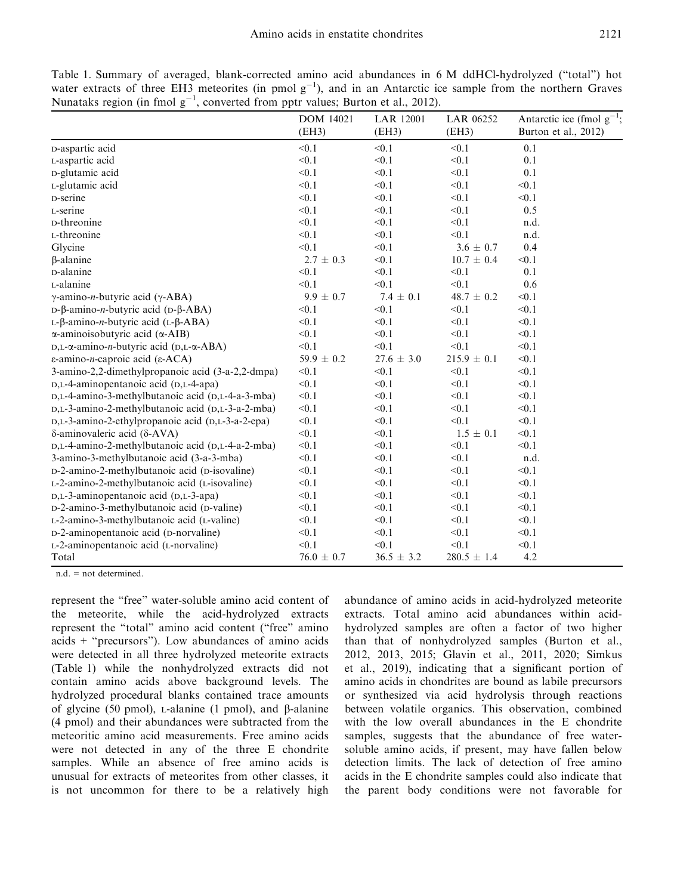Table 1. Summary of averaged, blank-corrected amino acid abundances in 6 M ddHCl-hydrolyzed ("total") hot water extracts of three EH3 meteorites (in pmol  $g^{-1}$ ), and in an Antarctic ice sample from the northern Graves Nunataks region (in fmol  $g^{-1}$ , converted from pptr values; Burton et al., 2012).

|                                                                  | <b>DOM 14021</b><br>(EH3) | <b>LAR 12001</b><br>(EH3) | LAR 06252<br>(EH3) | Antarctic ice (fmol $g^{-1}$ ;<br>Burton et al., $2012$ ) |
|------------------------------------------------------------------|---------------------------|---------------------------|--------------------|-----------------------------------------------------------|
|                                                                  |                           |                           |                    |                                                           |
| D-aspartic acid                                                  | < 0.1                     | < 0.1                     | < 0.1              | 0.1                                                       |
| L-aspartic acid                                                  | < 0.1                     | < 0.1                     | < 0.1              | 0.1                                                       |
| D-glutamic acid                                                  | < 0.1                     | < 0.1                     | < 0.1              | 0.1                                                       |
| L-glutamic acid                                                  | < 0.1                     | < 0.1                     | < 0.1              | < 0.1                                                     |
| D-serine                                                         | < 0.1                     | < 0.1                     | < 0.1              | < 0.1                                                     |
| L-serine                                                         | < 0.1                     | < 0.1                     | < 0.1              | 0.5                                                       |
| D-threonine                                                      | < 0.1                     | < 0.1                     | < 0.1              | n.d.                                                      |
| L-threonine                                                      | < 0.1                     | < 0.1                     | < 0.1              | n.d.                                                      |
| Glycine                                                          | < 0.1                     | < 0.1                     | $3.6 \pm 0.7$      | 0.4                                                       |
| $\beta$ -alanine                                                 | $2.7 \pm 0.3$             | < 0.1                     | $10.7 \pm 0.4$     | < 0.1                                                     |
| D-alanine                                                        | < 0.1                     | < 0.1                     | < 0.1              | 0.1                                                       |
| L-alanine                                                        | < 0.1                     | < 0.1                     | < 0.1              | 0.6                                                       |
| $\gamma$ -amino- <i>n</i> -butyric acid ( $\gamma$ -ABA)         | $9.9 \pm 0.7$             | $7.4 \pm 0.1$             | $48.7 \pm 0.2$     | < 0.1                                                     |
| D-β-amino- <i>n</i> -butyric acid (D-β-ABA)                      | < 0.1                     | < 0.1                     | < 0.1              | < 0.1                                                     |
| $L$ -β-amino- <i>n</i> -butyric acid ( $L$ -β-ABA)               | < 0.1                     | < 0.1                     | < 0.1              | < 0.1                                                     |
| $\alpha$ -aminoisobutyric acid ( $\alpha$ -AIB)                  | < 0.1                     | < 0.1                     | < 0.1              | < 0.1                                                     |
| $D,L-\alpha$ -amino- <i>n</i> -butyric acid ( $D,L-\alpha$ -ABA) | < 0.1                     | < 0.1                     | < 0.1              | < 0.1                                                     |
| ε-amino- <i>n</i> -caproic acid (ε-ACA)                          | 59.9 $\pm$ 0.2            | $27.6 \pm 3.0$            | $215.9 \pm 0.1$    | < 0.1                                                     |
| 3-amino-2,2-dimethylpropanoic acid (3-a-2,2-dmpa)                | < 0.1                     | < 0.1                     | < 0.1              | < 0.1                                                     |
| D,L-4-aminopentanoic acid (D,L-4-apa)                            | < 0.1                     | < 0.1                     | < 0.1              | < 0.1                                                     |
| D,L-4-amino-3-methylbutanoic acid (D,L-4-a-3-mba)                | < 0.1                     | < 0.1                     | < 0.1              | < 0.1                                                     |
| D,L-3-amino-2-methylbutanoic acid (D,L-3-a-2-mba)                | < 0.1                     | < 0.1                     | < 0.1              | < 0.1                                                     |
| D,L-3-amino-2-ethylpropanoic acid (D,L-3-a-2-epa)                | < 0.1                     | < 0.1                     | < 0.1              | < 0.1                                                     |
| $\delta$ -aminovaleric acid ( $\delta$ -AVA)                     | < 0.1                     | < 0.1                     | $1.5 \pm 0.1$      | < 0.1                                                     |
| D,L-4-amino-2-methylbutanoic acid (D,L-4-a-2-mba)                | < 0.1                     | < 0.1                     | < 0.1              | < 0.1                                                     |
| 3-amino-3-methylbutanoic acid (3-a-3-mba)                        | < 0.1                     | < 0.1                     | < 0.1              | n.d.                                                      |
| D-2-amino-2-methylbutanoic acid (D-isovaline)                    | < 0.1                     | < 0.1                     | < 0.1              | < 0.1                                                     |
| L-2-amino-2-methylbutanoic acid (L-isovaline)                    | < 0.1                     | < 0.1                     | < 0.1              | < 0.1                                                     |
| D,L-3-aminopentanoic acid (D,L-3-apa)                            | < 0.1                     | < 0.1                     | < 0.1              | < 0.1                                                     |
| D-2-amino-3-methylbutanoic acid (D-valine)                       | < 0.1                     | < 0.1                     | < 0.1              | < 0.1                                                     |
| L-2-amino-3-methylbutanoic acid (L-valine)                       | < 0.1                     | < 0.1                     | < 0.1              | < 0.1                                                     |
| D-2-aminopentanoic acid (D-norvaline)                            | < 0.1                     | < 0.1                     | < 0.1              | < 0.1                                                     |
| L-2-aminopentanoic acid (L-norvaline)                            | < 0.1                     | < 0.1                     | < 0.1              | < 0.1                                                     |
| Total                                                            | $76.0 \pm 0.7$            | $36.5 \pm 3.2$            | $280.5 \pm 1.4$    | 4.2                                                       |

n.d. = not determined.

represent the "free" water-soluble amino acid content of the meteorite, while the acid-hydrolyzed extracts represent the "total" amino acid content ("free" amino acids + "precursors"). Low abundances of amino acids were detected in all three hydrolyzed meteorite extracts (Table 1) while the nonhydrolyzed extracts did not contain amino acids above background levels. The hydrolyzed procedural blanks contained trace amounts of glycine (50 pmol),  $L$ -alanine (1 pmol), and  $\beta$ -alanine (4 pmol) and their abundances were subtracted from the meteoritic amino acid measurements. Free amino acids were not detected in any of the three E chondrite samples. While an absence of free amino acids is unusual for extracts of meteorites from other classes, it is not uncommon for there to be a relatively high abundance of amino acids in acid-hydrolyzed meteorite extracts. Total amino acid abundances within acidhydrolyzed samples are often a factor of two higher than that of nonhydrolyzed samples (Burton et al., 2012, 2013, 2015; Glavin et al., 2011, 2020; Simkus et al., 2019), indicating that a significant portion of amino acids in chondrites are bound as labile precursors or synthesized via acid hydrolysis through reactions between volatile organics. This observation, combined with the low overall abundances in the E chondrite samples, suggests that the abundance of free watersoluble amino acids, if present, may have fallen below detection limits. The lack of detection of free amino acids in the E chondrite samples could also indicate that the parent body conditions were not favorable for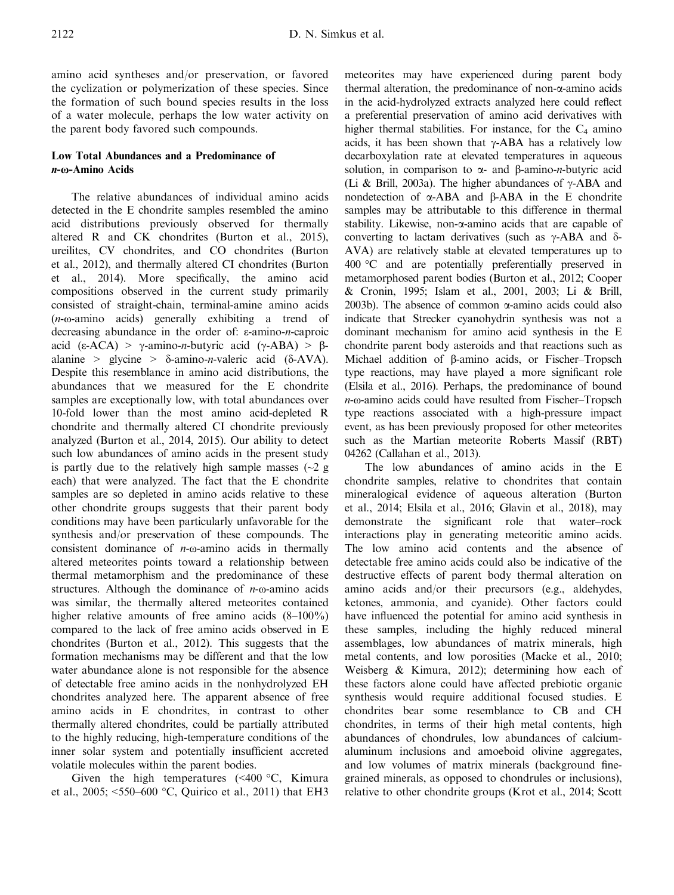amino acid syntheses and/or preservation, or favored the cyclization or polymerization of these species. Since the formation of such bound species results in the loss of a water molecule, perhaps the low water activity on the parent body favored such compounds.

# Low Total Abundances and a Predominance of n-ω-Amino Acids

The relative abundances of individual amino acids detected in the E chondrite samples resembled the amino acid distributions previously observed for thermally altered R and CK chondrites (Burton et al., 2015), ureilites, CV chondrites, and CO chondrites (Burton et al., 2012), and thermally altered CI chondrites (Burton et al., 2014). More specifically, the amino acid compositions observed in the current study primarily consisted of straight-chain, terminal-amine amino acids (n-ω-amino acids) generally exhibiting a trend of decreasing abundance in the order of: ε-amino-n-caproic acid (ε-ACA) >  $\gamma$ -amino-*n*-butyric acid (γ-ABA) > βalanine > glycine >  $\delta$ -amino-*n*-valeric acid ( $\delta$ -AVA). Despite this resemblance in amino acid distributions, the abundances that we measured for the E chondrite samples are exceptionally low, with total abundances over 10-fold lower than the most amino acid-depleted R chondrite and thermally altered CI chondrite previously analyzed (Burton et al., 2014, 2015). Our ability to detect such low abundances of amino acids in the present study is partly due to the relatively high sample masses  $\sim$  2 g each) that were analyzed. The fact that the E chondrite samples are so depleted in amino acids relative to these other chondrite groups suggests that their parent body conditions may have been particularly unfavorable for the synthesis and/or preservation of these compounds. The consistent dominance of  $n$ -ω-amino acids in thermally altered meteorites points toward a relationship between thermal metamorphism and the predominance of these structures. Although the dominance of  $n$ -ω-amino acids was similar, the thermally altered meteorites contained higher relative amounts of free amino acids  $(8-100\%)$ compared to the lack of free amino acids observed in E chondrites (Burton et al., 2012). This suggests that the formation mechanisms may be different and that the low water abundance alone is not responsible for the absence of detectable free amino acids in the nonhydrolyzed EH chondrites analyzed here. The apparent absence of free amino acids in E chondrites, in contrast to other thermally altered chondrites, could be partially attributed to the highly reducing, high-temperature conditions of the inner solar system and potentially insufficient accreted volatile molecules within the parent bodies.

Given the high temperatures (<400 °C, Kimura et al., 2005; <550–600 °C, Quirico et al., 2011) that EH3 meteorites may have experienced during parent body thermal alteration, the predominance of non-a-amino acids in the acid-hydrolyzed extracts analyzed here could reflect a preferential preservation of amino acid derivatives with higher thermal stabilities. For instance, for the  $C_4$  amino acids, it has been shown that  $\gamma$ -ABA has a relatively low decarboxylation rate at elevated temperatures in aqueous solution, in comparison to  $\alpha$ - and B-amino-*n*-butyric acid (Li & Brill, 2003a). The higher abundances of  $\gamma$ -ABA and nondetection of  $\alpha$ -ABA and  $\beta$ -ABA in the E chondrite samples may be attributable to this difference in thermal stability. Likewise, non- $\alpha$ -amino acids that are capable of converting to lactam derivatives (such as  $\gamma$ -ABA and  $\delta$ -AVA) are relatively stable at elevated temperatures up to 400 °C and are potentially preferentially preserved in metamorphosed parent bodies (Burton et al., 2012; Cooper & Cronin, 1995; Islam et al., 2001, 2003; Li & Brill, 2003b). The absence of common  $\alpha$ -amino acids could also indicate that Strecker cyanohydrin synthesis was not a dominant mechanism for amino acid synthesis in the E chondrite parent body asteroids and that reactions such as Michael addition of  $\beta$ -amino acids, or Fischer–Tropsch type reactions, may have played a more significant role (Elsila et al., 2016). Perhaps, the predominance of bound n-ω-amino acids could have resulted from Fischer–Tropsch type reactions associated with a high-pressure impact event, as has been previously proposed for other meteorites such as the Martian meteorite Roberts Massif (RBT) 04262 (Callahan et al., 2013).

The low abundances of amino acids in the E chondrite samples, relative to chondrites that contain mineralogical evidence of aqueous alteration (Burton et al., 2014; Elsila et al., 2016; Glavin et al., 2018), may demonstrate the significant role that water–rock interactions play in generating meteoritic amino acids. The low amino acid contents and the absence of detectable free amino acids could also be indicative of the destructive effects of parent body thermal alteration on amino acids and/or their precursors (e.g., aldehydes, ketones, ammonia, and cyanide). Other factors could have influenced the potential for amino acid synthesis in these samples, including the highly reduced mineral assemblages, low abundances of matrix minerals, high metal contents, and low porosities (Macke et al., 2010; Weisberg & Kimura, 2012); determining how each of these factors alone could have affected prebiotic organic synthesis would require additional focused studies. E chondrites bear some resemblance to CB and CH chondrites, in terms of their high metal contents, high abundances of chondrules, low abundances of calciumaluminum inclusions and amoeboid olivine aggregates, and low volumes of matrix minerals (background finegrained minerals, as opposed to chondrules or inclusions), relative to other chondrite groups (Krot et al., 2014; Scott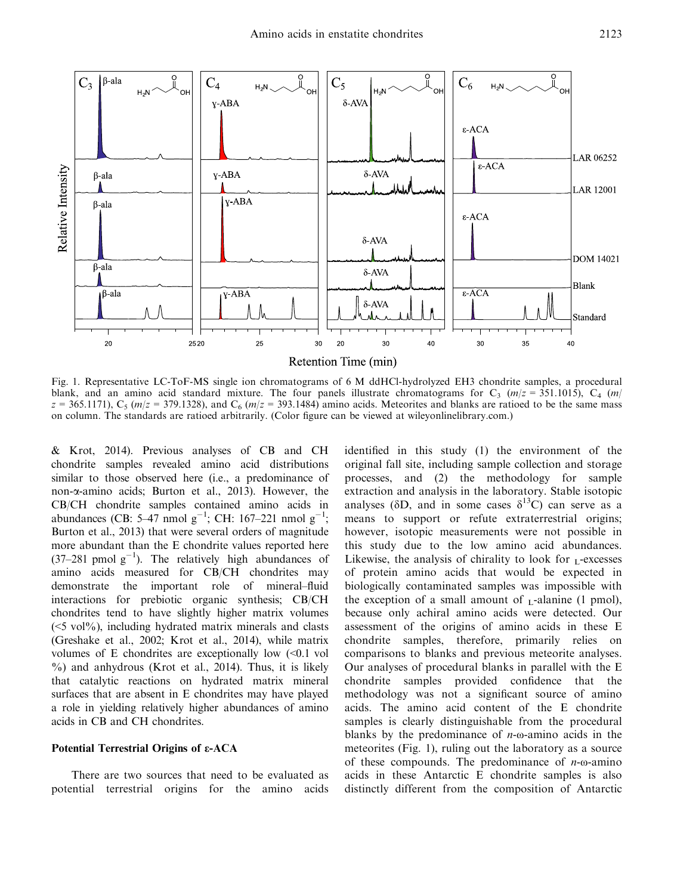

Fig. 1. Representative LC-ToF-MS single ion chromatograms of 6 M ddHCl-hydrolyzed EH3 chondrite samples, a procedural blank, and an amino acid standard mixture. The four panels illustrate chromatograms for  $C_3$  ( $m/z = 351.1015$ ),  $C_4$  ( $m/z$ )  $z = 365.1171$ ),  $C_5$  ( $m/z = 379.1328$ ), and  $C_6$  ( $m/z = 393.1484$ ) amino acids. Meteorites and blanks are ratioed to be the same mass on column. The standards are ratioed arbitrarily. (Color figure can be viewed at [wileyonlinelibrary.com.\)](www.wileyonlinelibrary.com)

& Krot, 2014). Previous analyses of CB and CH chondrite samples revealed amino acid distributions similar to those observed here (i.e., a predominance of non-a-amino acids; Burton et al., 2013). However, the CB/CH chondrite samples contained amino acids in abundances (CB: 5–47 nmol  $g^{-1}$ ; CH: 167–221 nmol  $g^{-1}$ ; Burton et al., 2013) that were several orders of magnitude more abundant than the E chondrite values reported here  $(37-281 \text{ pmol g}^{-1})$ . The relatively high abundances of amino acids measured for CB/CH chondrites may demonstrate the important role of mineral–fluid interactions for prebiotic organic synthesis; CB/CH chondrites tend to have slightly higher matrix volumes  $(\leq 5 \text{ vol}\%)$ , including hydrated matrix minerals and clasts (Greshake et al., 2002; Krot et al., 2014), while matrix volumes of E chondrites are exceptionally low  $\ll 0.1$  vol %) and anhydrous (Krot et al., 2014). Thus, it is likely that catalytic reactions on hydrated matrix mineral surfaces that are absent in E chondrites may have played a role in yielding relatively higher abundances of amino acids in CB and CH chondrites.

#### Potential Terrestrial Origins of ε-ACA

There are two sources that need to be evaluated as potential terrestrial origins for the amino acids identified in this study (1) the environment of the original fall site, including sample collection and storage processes, and (2) the methodology for sample extraction and analysis in the laboratory. Stable isotopic analyses ( $\delta D$ , and in some cases  $\delta^{13}C$ ) can serve as a means to support or refute extraterrestrial origins; however, isotopic measurements were not possible in this study due to the low amino acid abundances. Likewise, the analysis of chirality to look for  $<sub>L</sub>$ -excesses</sub> of protein amino acids that would be expected in biologically contaminated samples was impossible with the exception of a small amount of  $<sub>L</sub>$ -alanine (1 pmol),</sub> because only achiral amino acids were detected. Our assessment of the origins of amino acids in these E chondrite samples, therefore, primarily relies on comparisons to blanks and previous meteorite analyses. Our analyses of procedural blanks in parallel with the E chondrite samples provided confidence that the methodology was not a significant source of amino acids. The amino acid content of the E chondrite samples is clearly distinguishable from the procedural blanks by the predominance of  $n$ -ω-amino acids in the meteorites (Fig. 1), ruling out the laboratory as a source of these compounds. The predominance of  $n$ - $\omega$ -amino acids in these Antarctic E chondrite samples is also distinctly different from the composition of Antarctic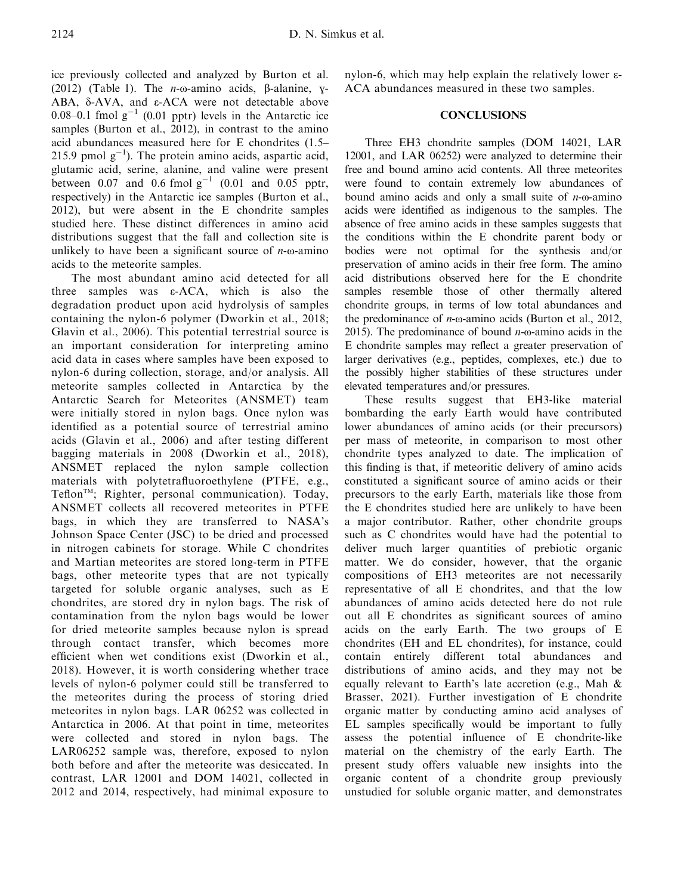ice previously collected and analyzed by Burton et al. (2012) (Table 1). The  $n$ - $\omega$ -amino acids,  $\beta$ -alanine, y-ABA, d-AVA, and ε-ACA were not detectable above 0.08–0.1 fmol  $g^{-1}$  (0.01 pptr) levels in the Antarctic ice samples (Burton et al., 2012), in contrast to the amino acid abundances measured here for E chondrites (1.5– 215.9 pmol  $g^{-1}$ ). The protein amino acids, aspartic acid, glutamic acid, serine, alanine, and valine were present between 0.07 and 0.6 fmol  $g^{-1}$  (0.01 and 0.05 pptr, respectively) in the Antarctic ice samples (Burton et al., 2012), but were absent in the E chondrite samples studied here. These distinct differences in amino acid distributions suggest that the fall and collection site is unlikely to have been a significant source of  $n$ - $\omega$ -amino acids to the meteorite samples.

The most abundant amino acid detected for all three samples was  $\varepsilon$ -ACA, which is also the degradation product upon acid hydrolysis of samples containing the nylon-6 polymer (Dworkin et al., 2018; Glavin et al., 2006). This potential terrestrial source is an important consideration for interpreting amino acid data in cases where samples have been exposed to nylon-6 during collection, storage, and/or analysis. All meteorite samples collected in Antarctica by the Antarctic Search for Meteorites (ANSMET) team were initially stored in nylon bags. Once nylon was identified as a potential source of terrestrial amino acids (Glavin et al., 2006) and after testing different bagging materials in 2008 (Dworkin et al., 2018), ANSMET replaced the nylon sample collection materials with polytetrafluoroethylene (PTFE, e.g., Teflon<sup>TM</sup>; Righter, personal communication). Today, ANSMET collects all recovered meteorites in PTFE bags, in which they are transferred to NASA's Johnson Space Center (JSC) to be dried and processed in nitrogen cabinets for storage. While C chondrites and Martian meteorites are stored long-term in PTFE bags, other meteorite types that are not typically targeted for soluble organic analyses, such as E chondrites, are stored dry in nylon bags. The risk of contamination from the nylon bags would be lower for dried meteorite samples because nylon is spread through contact transfer, which becomes more efficient when wet conditions exist (Dworkin et al., 2018). However, it is worth considering whether trace levels of nylon-6 polymer could still be transferred to the meteorites during the process of storing dried meteorites in nylon bags. LAR 06252 was collected in Antarctica in 2006. At that point in time, meteorites were collected and stored in nylon bags. The LAR06252 sample was, therefore, exposed to nylon both before and after the meteorite was desiccated. In contrast, LAR 12001 and DOM 14021, collected in 2012 and 2014, respectively, had minimal exposure to nylon-6, which may help explain the relatively lower ε-ACA abundances measured in these two samples.

# **CONCLUSIONS**

Three EH3 chondrite samples (DOM 14021, LAR 12001, and LAR 06252) were analyzed to determine their free and bound amino acid contents. All three meteorites were found to contain extremely low abundances of bound amino acids and only a small suite of  $n$ - $\omega$ -amino acids were identified as indigenous to the samples. The absence of free amino acids in these samples suggests that the conditions within the E chondrite parent body or bodies were not optimal for the synthesis and/or preservation of amino acids in their free form. The amino acid distributions observed here for the E chondrite samples resemble those of other thermally altered chondrite groups, in terms of low total abundances and the predominance of *n*- $\omega$ -amino acids (Burton et al., 2012, 2015). The predominance of bound  $n$ - $\omega$ -amino acids in the E chondrite samples may reflect a greater preservation of larger derivatives (e.g., peptides, complexes, etc.) due to the possibly higher stabilities of these structures under elevated temperatures and/or pressures.

These results suggest that EH3-like material bombarding the early Earth would have contributed lower abundances of amino acids (or their precursors) per mass of meteorite, in comparison to most other chondrite types analyzed to date. The implication of this finding is that, if meteoritic delivery of amino acids constituted a significant source of amino acids or their precursors to the early Earth, materials like those from the E chondrites studied here are unlikely to have been a major contributor. Rather, other chondrite groups such as C chondrites would have had the potential to deliver much larger quantities of prebiotic organic matter. We do consider, however, that the organic compositions of EH3 meteorites are not necessarily representative of all E chondrites, and that the low abundances of amino acids detected here do not rule out all E chondrites as significant sources of amino acids on the early Earth. The two groups of E chondrites (EH and EL chondrites), for instance, could contain entirely different total abundances and distributions of amino acids, and they may not be equally relevant to Earth's late accretion (e.g., Mah & Brasser, 2021). Further investigation of E chondrite organic matter by conducting amino acid analyses of EL samples specifically would be important to fully assess the potential influence of E chondrite-like material on the chemistry of the early Earth. The present study offers valuable new insights into the organic content of a chondrite group previously unstudied for soluble organic matter, and demonstrates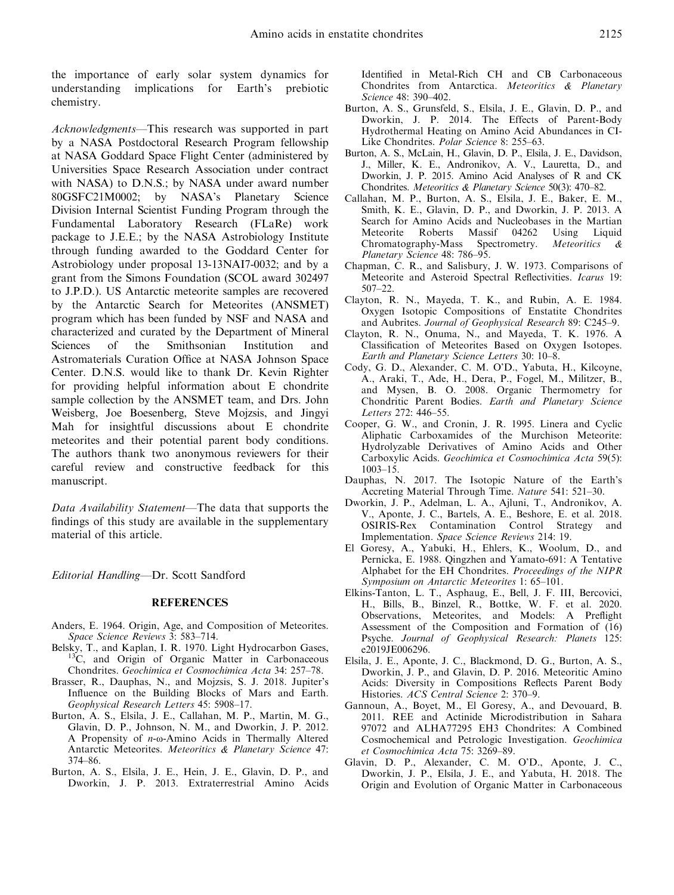the importance of early solar system dynamics for understanding implications for Earth's prebiotic chemistry.

Acknowledgments—This research was supported in part by a NASA Postdoctoral Research Program fellowship at NASA Goddard Space Flight Center (administered by Universities Space Research Association under contract with NASA) to D.N.S.; by NASA under award number 80GSFC21M0002; by NASA's Planetary Science Division Internal Scientist Funding Program through the Fundamental Laboratory Research (FLaRe) work package to J.E.E.; by the NASA Astrobiology Institute through funding awarded to the Goddard Center for Astrobiology under proposal 13-13NAI7-0032; and by a grant from the Simons Foundation (SCOL award 302497 to J.P.D.). US Antarctic meteorite samples are recovered by the Antarctic Search for Meteorites (ANSMET) program which has been funded by NSF and NASA and characterized and curated by the Department of Mineral Sciences of the Smithsonian Institution and Astromaterials Curation Office at NASA Johnson Space Center. D.N.S. would like to thank Dr. Kevin Righter for providing helpful information about E chondrite sample collection by the ANSMET team, and Drs. John Weisberg, Joe Boesenberg, Steve Mojzsis, and Jingyi Mah for insightful discussions about E chondrite meteorites and their potential parent body conditions. The authors thank two anonymous reviewers for their careful review and constructive feedback for this manuscript.

Data Availability Statement—The data that supports the findings of this study are available in the supplementary material of this article.

Editorial Handling—Dr. Scott Sandford

### REFERENCES

- Anders, E. 1964. Origin, Age, and Composition of Meteorites. Space Science Reviews 3: 583–714.<br>Belsky, T., and Kaplan, I. R. 1970. Light Hydrocarbon Gases,
- <sup>13</sup>C, and Origin of Organic Matter in Carbonaceous Chondrites. Geochimica et Cosmochimica Acta 34: 257–78.
- Brasser, R., Dauphas, N., and Mojzsis, S. J. 2018. Jupiter's Influence on the Building Blocks of Mars and Earth. Geophysical Research Letters 45: 5908–17.
- Burton, A. S., Elsila, J. E., Callahan, M. P., Martin, M. G., Glavin, D. P., Johnson, N. M., and Dworkin, J. P. 2012. A Propensity of n-ω-Amino Acids in Thermally Altered Antarctic Meteorites. Meteoritics & Planetary Science 47: 374–86.
- Burton, A. S., Elsila, J. E., Hein, J. E., Glavin, D. P., and Dworkin, J. P. 2013. Extraterrestrial Amino Acids

Identified in Metal-Rich CH and CB Carbonaceous Chondrites from Antarctica. Meteoritics & Planetary Science 48: 390–402.

- Burton, A. S., Grunsfeld, S., Elsila, J. E., Glavin, D. P., and Dworkin, J. P. 2014. The Effects of Parent-Body Hydrothermal Heating on Amino Acid Abundances in CI-Like Chondrites. Polar Science 8: 255–63.
- Burton, A. S., McLain, H., Glavin, D. P., Elsila, J. E., Davidson, J., Miller, K. E., Andronikov, A. V., Lauretta, D., and Dworkin, J. P. 2015. Amino Acid Analyses of R and CK Chondrites. Meteoritics & Planetary Science 50(3): 470–82.
- Callahan, M. P., Burton, A. S., Elsila, J. E., Baker, E. M., Smith, K. E., Glavin, D. P., and Dworkin, J. P. 2013. A Search for Amino Acids and Nucleobases in the Martian Meteorite Roberts Massif 04262 Using Liquid Chromatography-Mass Spectrometry. Meteoritics & Planetary Science 48: 786–95.
- Chapman, C. R., and Salisbury, J. W. 1973. Comparisons of Meteorite and Asteroid Spectral Reflectivities. Icarus 19: 507–22.
- Clayton, R. N., Mayeda, T. K., and Rubin, A. E. 1984. Oxygen Isotopic Compositions of Enstatite Chondrites and Aubrites. Journal of Geophysical Research 89: C245–9.
- Clayton, R. N., Onuma, N., and Mayeda, T. K. 1976. A Classification of Meteorites Based on Oxygen Isotopes. Earth and Planetary Science Letters 30: 10–8.
- Cody, G. D., Alexander, C. M. O'D., Yabuta, H., Kilcoyne, A., Araki, T., Ade, H., Dera, P., Fogel, M., Militzer, B., and Mysen, B. O. 2008. Organic Thermometry for Chondritic Parent Bodies. Earth and Planetary Science Letters 272: 446–55.
- Cooper, G. W., and Cronin, J. R. 1995. Linera and Cyclic Aliphatic Carboxamides of the Murchison Meteorite: Hydrolyzable Derivatives of Amino Acids and Other Carboxylic Acids. Geochimica et Cosmochimica Acta 59(5): 1003–15.
- Dauphas, N. 2017. The Isotopic Nature of the Earth's Accreting Material Through Time. Nature 541: 521–30.
- Dworkin, J. P., Adelman, L. A., Ajluni, T., Andronikov, A. V., Aponte, J. C., Bartels, A. E., Beshore, E. et al. 2018. OSIRIS-Rex Contamination Control Strategy and Implementation. Space Science Reviews 214: 19.
- El Goresy, A., Yabuki, H., Ehlers, K., Woolum, D., and Pernicka, E. 1988. Qingzhen and Yamato-691: A Tentative Alphabet for the EH Chondrites. Proceedings of the NIPR Symposium on Antarctic Meteorites 1: 65–101.
- Elkins-Tanton, L. T., Asphaug, E., Bell, J. F. III, Bercovici, H., Bills, B., Binzel, R., Bottke, W. F. et al. 2020. Observations, Meteorites, and Models: A Preflight Assessment of the Composition and Formation of (16) Psyche. Journal of Geophysical Research: Planets 125: e2019JE006296.
- Elsila, J. E., Aponte, J. C., Blackmond, D. G., Burton, A. S., Dworkin, J. P., and Glavin, D. P. 2016. Meteoritic Amino Acids: Diversity in Compositions Reflects Parent Body Histories. ACS Central Science 2: 370–9.
- Gannoun, A., Boyet, M., El Goresy, A., and Devouard, B. 2011. REE and Actinide Microdistribution in Sahara 97072 and ALHA77295 EH3 Chondrites: A Combined Cosmochemical and Petrologic Investigation. Geochimica et Cosmochimica Acta 75: 3269–89.
- Glavin, D. P., Alexander, C. M. O'D., Aponte, J. C., Dworkin, J. P., Elsila, J. E., and Yabuta, H. 2018. The Origin and Evolution of Organic Matter in Carbonaceous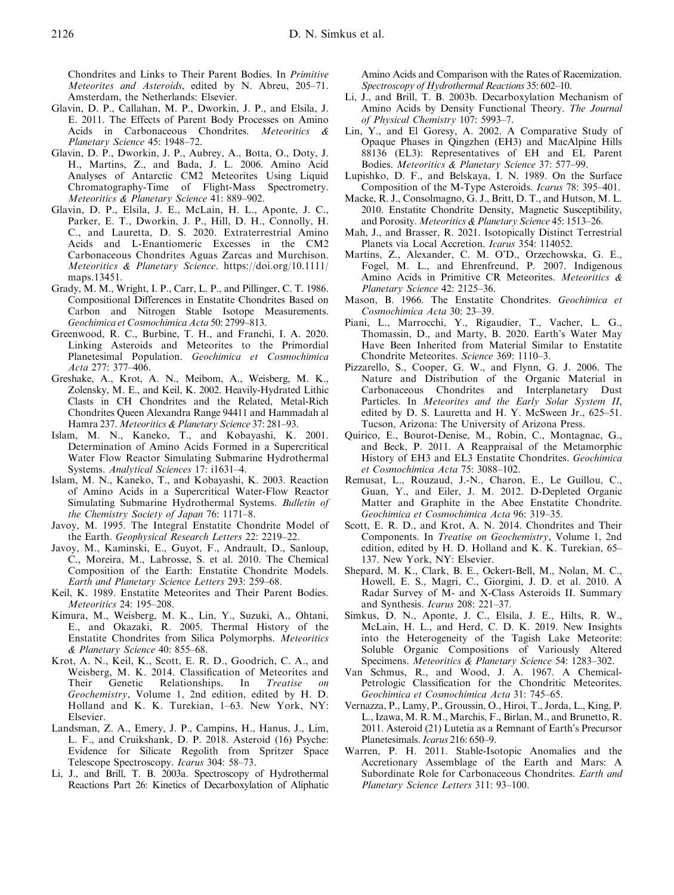Chondrites and Links to Their Parent Bodies. In Primitive Meteorites and Asteroids, edited by N. Abreu, 205–71. Amsterdam, the Netherlands: Elsevier.

- Glavin, D. P., Callahan, M. P., Dworkin, J. P., and Elsila, J. E. 2011. The Effects of Parent Body Processes on Amino Acids in Carbonaceous Chondrites. Meteoritics & Planetary Science 45: 1948–72.
- Glavin, D. P., Dworkin, J. P., Aubrey, A., Botta, O., Doty, J. H., Martins, Z., and Bada, J. L. 2006. Amino Acid Analyses of Antarctic CM2 Meteorites Using Liquid Chromatography-Time of Flight-Mass Spectrometry. Meteoritics & Planetary Science 41: 889–902.
- Glavin, D. P., Elsila, J. E., McLain, H. L., Aponte, J. C., Parker, E. T., Dworkin, J. P., Hill, D. H., Connolly, H. C., and Lauretta, D. S. 2020. Extraterrestrial Amino Acids and L-Enantiomeric Excesses in the CM2 Carbonaceous Chondrites Aguas Zarcas and Murchison. Meteoritics & Planetary Science. [https://doi.org/10.1111/](https://doi.org/10.1111/maps.13451) [maps.13451](https://doi.org/10.1111/maps.13451).
- Grady, M. M., Wright, I. P., Carr, L. P., and Pillinger, C. T. 1986. Compositional Differences in Enstatite Chondrites Based on Carbon and Nitrogen Stable Isotope Measurements. Geochimica et Cosmochimica Acta 50: 2799–813.
- Greenwood, R. C., Burbine, T. H., and Franchi, I. A. 2020. Linking Asteroids and Meteorites to the Primordial Planetesimal Population. Geochimica et Cosmochimica Acta 277: 377–406.
- Greshake, A., Krot, A. N., Meibom, A., Weisberg, M. K., Zolensky, M. E., and Keil, K. 2002. Heavily-Hydrated Lithic Clasts in CH Chondrites and the Related, Metal-Rich Chondrites Queen Alexandra Range 94411 and Hammadah al Hamra 237. Meteoritics & Planetary Science 37: 281–93.
- Islam, M. N., Kaneko, T., and Kobayashi, K. 2001. Determination of Amino Acids Formed in a Supercritical Water Flow Reactor Simulating Submarine Hydrothermal Systems. Analytical Sciences 17: i1631–4.
- Islam, M. N., Kaneko, T., and Kobayashi, K. 2003. Reaction of Amino Acids in a Supercritical Water-Flow Reactor Simulating Submarine Hydrothermal Systems. Bulletin of the Chemistry Society of Japan 76: 1171–8.
- Javoy, M. 1995. The Integral Enstatite Chondrite Model of the Earth. Geophysical Research Letters 22: 2219–22.
- Javoy, M., Kaminski, E., Guyot, F., Andrault, D., Sanloup, C., Moreira, M., Labrosse, S. et al. 2010. The Chemical Composition of the Earth: Enstatite Chondrite Models. Earth and Planetary Science Letters 293: 259–68.
- Keil, K. 1989. Enstatite Meteorites and Their Parent Bodies. Meteoritics 24: 195–208.
- Kimura, M., Weisberg, M. K., Lin, Y., Suzuki, A., Ohtani, E., and Okazaki, R. 2005. Thermal History of the Enstatite Chondrites from Silica Polymorphs. Meteoritics & Planetary Science 40: 855–68.
- Krot, A. N., Keil, K., Scott, E. R. D., Goodrich, C. A., and Weisberg, M. K. 2014. Classification of Meteorites and Their Genetic Relationships. In Treatise on Geochemistry, Volume 1, 2nd edition, edited by H. D. Holland and K. K. Turekian, 1–63. New York, NY: Elsevier.
- Landsman, Z. A., Emery, J. P., Campins, H., Hanus, J., Lim, L. F., and Cruikshank, D. P. 2018. Asteroid (16) Psyche: Evidence for Silicate Regolith from Spritzer Space Telescope Spectroscopy. Icarus 304: 58–73.
- Li, J., and Brill, T. B. 2003a. Spectroscopy of Hydrothermal Reactions Part 26: Kinetics of Decarboxylation of Aliphatic

Amino Acids and Comparison with the Rates of Racemization. Spectroscopy of Hydrothermal Reactions 35: 602–10.

- Li, J., and Brill, T. B. 2003b. Decarboxylation Mechanism of Amino Acids by Density Functional Theory. The Journal of Physical Chemistry 107: 5993–7.
- Lin, Y., and El Goresy, A. 2002. A Comparative Study of Opaque Phases in Qingzhen (EH3) and MacAlpine Hills 88136 (EL3): Representatives of EH and EL Parent Bodies. Meteoritics & Planetary Science 37: 577–99.
- Lupishko, D. F., and Belskaya, I. N. 1989. On the Surface Composition of the M-Type Asteroids. Icarus 78: 395–401.
- Macke, R. J., Consolmagno, G. J., Britt, D. T., and Hutson, M. L. 2010. Enstatite Chondrite Density, Magnetic Susceptibility, and Porosity. Meteoritics & Planetary Science 45: 1513–26.
- Mah, J., and Brasser, R. 2021. Isotopically Distinct Terrestrial Planets via Local Accretion. Icarus 354: 114052.
- Martins, Z., Alexander, C. M. O'D., Orzechowska, G. E., Fogel, M. L., and Ehrenfreund, P. 2007. Indigenous Amino Acids in Primitive CR Meteorites. Meteoritics & Planetary Science 42: 2125–36.
- Mason, B. 1966. The Enstatite Chondrites. Geochimica et Cosmochimica Acta 30: 23–39.
- Piani, L., Marrocchi, Y., Rigaudier, T., Vacher, L. G., Thomassin, D., and Marty, B. 2020. Earth's Water May Have Been Inherited from Material Similar to Enstatite Chondrite Meteorites. Science 369: 1110–3.
- Pizzarello, S., Cooper, G. W., and Flynn, G. J. 2006. The Nature and Distribution of the Organic Material in Carbonaceous Chondrites and Interplanetary Dust Particles. In Meteorites and the Early Solar System II, edited by D. S. Lauretta and H. Y. McSween Jr., 625–51. Tucson, Arizona: The University of Arizona Press.
- Quirico, E., Bourot-Denise, M., Robin, C., Montagnac, G., and Beck, P. 2011. A Reappraisal of the Metamorphic History of EH3 and EL3 Enstatite Chondrites. Geochimica et Cosmochimica Acta 75: 3088–102.
- Remusat, L., Rouzaud, J.-N., Charon, E., Le Guillou, C., Guan, Y., and Eiler, J. M. 2012. D-Depleted Organic Matter and Graphite in the Abee Enstatite Chondrite. Geochimica et Cosmochimica Acta 96: 319–35.
- Scott, E. R. D., and Krot, A. N. 2014. Chondrites and Their Components. In Treatise on Geochemistry, Volume 1, 2nd edition, edited by H. D. Holland and K. K. Turekian, 65– 137. New York, NY: Elsevier.
- Shepard, M. K., Clark, B. E., Ockert-Bell, M., Nolan, M. C., Howell, E. S., Magri, C., Giorgini, J. D. et al. 2010. A Radar Survey of M- and X-Class Asteroids II. Summary and Synthesis. Icarus 208: 221–37.
- Simkus, D. N., Aponte, J. C., Elsila, J. E., Hilts, R. W., McLain, H. L., and Herd, C. D. K. 2019. New Insights into the Heterogeneity of the Tagish Lake Meteorite: Soluble Organic Compositions of Variously Altered Specimens. Meteoritics & Planetary Science 54: 1283-302.
- Van Schmus, R., and Wood, J. A. 1967. A Chemical-Petrologic Classification for the Chondritic Meteorites. Geochimica et Cosmochimica Acta 31: 745–65.
- Vernazza, P., Lamy, P., Groussin, O., Hiroi, T., Jorda, L., King, P. L., Izawa, M. R. M., Marchis, F., Birlan, M., and Brunetto, R. 2011. Asteroid (21) Lutetia as a Remnant of Earth's Precursor Planetesimals. Icarus 216: 650-9.
- Warren, P. H. 2011. Stable-Isotopic Anomalies and the Accretionary Assemblage of the Earth and Mars: A Subordinate Role for Carbonaceous Chondrites. Earth and Planetary Science Letters 311: 93–100.